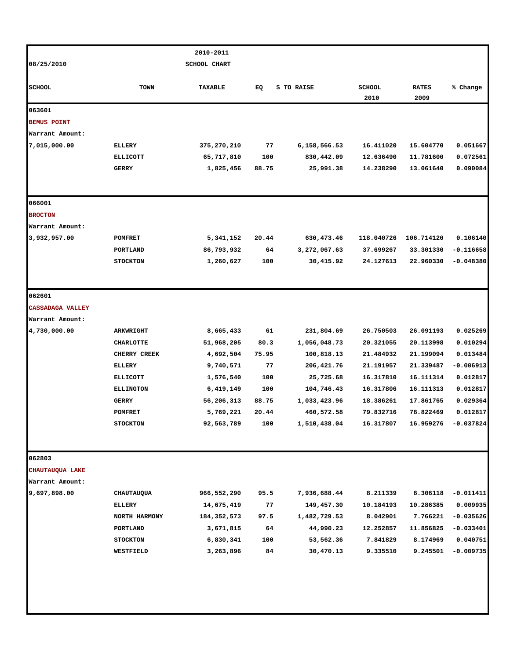|                         |                  | 2010-2011     |       |              |                       |                      |             |
|-------------------------|------------------|---------------|-------|--------------|-----------------------|----------------------|-------------|
| 08/25/2010              |                  |               |       |              |                       |                      |             |
| <b>SCHOOL</b>           | <b>TOWN</b>      | TAXABLE       | EQ    | \$ TO RAISE  | <b>SCHOOL</b><br>2010 | <b>RATES</b><br>2009 | % Change    |
| 063601                  |                  |               |       |              |                       |                      |             |
| <b>BEMUS POINT</b>      |                  |               |       |              |                       |                      |             |
| Warrant Amount:         |                  |               |       |              |                       |                      |             |
| 7,015,000.00            | <b>ELLERY</b>    | 375,270,210   | 77    | 6,158,566.53 | 16.411020             | 15.604770            | 0.051667    |
|                         | <b>ELLICOTT</b>  | 65,717,810    | 100   | 830,442.09   | 12.636490             | 11.781600            | 0.072561    |
|                         | <b>GERRY</b>     | 1,825,456     | 88.75 | 25,991.38    | 14.238290             | 13.061640            | 0.090084    |
| 066001                  |                  |               |       |              |                       |                      |             |
| <b>BROCTON</b>          |                  |               |       |              |                       |                      |             |
| Warrant Amount:         |                  |               |       |              |                       |                      |             |
| 3,932,957.00            | <b>POMFRET</b>   | 5,341,152     | 20.44 | 630,473.46   | 118.040726            | 106.714120           | 0.106140    |
|                         | PORTLAND         | 86,793,932    | 64    | 3,272,067.63 | 37.699267             | 33.301330            | $-0.116658$ |
|                         | <b>STOCKTON</b>  | 1,260,627     | 100   | 30,415.92    | 24.127613             | 22.960330            | $-0.048380$ |
| 062601                  |                  |               |       |              |                       |                      |             |
| <b>CASSADAGA VALLEY</b> |                  |               |       |              |                       |                      |             |
| Warrant Amount:         |                  |               |       |              |                       |                      |             |
| 4,730,000.00            | <b>ARKWRIGHT</b> | 8,665,433     | 61    | 231,804.69   | 26.750503             | 26.091193            | 0.025269    |
|                         | <b>CHARLOTTE</b> | 51,968,205    | 80.3  | 1,056,048.73 | 20.321055             | 20.113998            | 0.010294    |
|                         | CHERRY CREEK     | 4,692,504     | 75.95 | 100,818.13   | 21.484932             | 21.199094            | 0.013484    |
|                         | <b>ELLERY</b>    | 9,740,571     | 77    | 206,421.76   | 21.191957             | 21.339487            | $-0.006913$ |
|                         | <b>ELLICOTT</b>  | 1,576,540     | 100   | 25,725.68    | 16.317810             | 16.111314            | 0.012817    |
|                         | <b>ELLINGTON</b> | 6,419,149     | 100   | 104,746.43   | 16.317806             | 16.111313            | 0.012817    |
|                         | <b>GERRY</b>     | 56,206,313    | 88.75 | 1,033,423.96 | 18.386261             | 17.861765            | 0.029364    |
|                         | POMFRET          | 5,769,221     | 20.44 | 460,572.58   | 79.832716             | 78.822469            | 0.012817    |
|                         | <b>STOCKTON</b>  | 92,563,789    | 100   | 1,510,438.04 | 16.317807             | 16.959276            | $-0.037824$ |
| 062803                  |                  |               |       |              |                       |                      |             |
| CHAUTAUQUA LAKE         |                  |               |       |              |                       |                      |             |
| Warrant Amount:         |                  |               |       |              |                       |                      |             |
| 9,697,898.00            | CHAUTAUQUA       | 966,552,290   | 95.5  | 7,936,688.44 | 8.211339              | 8.306118             | $-0.011411$ |
|                         | <b>ELLERY</b>    | 14,675,419    | 77    | 149,457.30   | 10.184193             | 10.286385            | 0.009935    |
|                         | NORTH HARMONY    | 184, 352, 573 | 97.5  | 1,482,729.53 | 8.042901              | 7.766221             | $-0.035626$ |
|                         | PORTLAND         | 3,671,815     | 64    | 44,990.23    | 12.252857             | 11.856825            | $-0.033401$ |
|                         | <b>STOCKTON</b>  | 6,830,341     | 100   | 53,562.36    | 7.841829              | 8.174969             | 0.040751    |
|                         | WESTFIELD        | 3,263,896     | 84    | 30,470.13    | 9.335510              | 9.245501             | $-0.009735$ |
|                         |                  |               |       |              |                       |                      |             |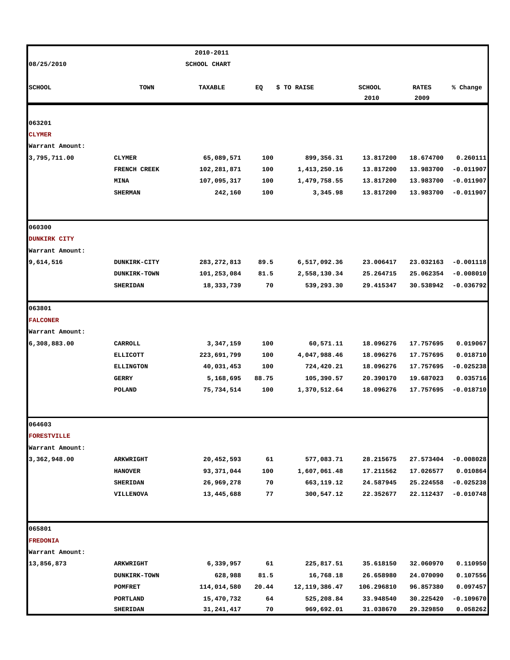|                     |                     | 2010-2011           |       |                  |               |              |             |
|---------------------|---------------------|---------------------|-------|------------------|---------------|--------------|-------------|
| 08/25/2010          |                     | <b>SCHOOL CHART</b> |       |                  |               |              |             |
|                     |                     |                     |       |                  |               |              |             |
| <b>SCHOOL</b>       | TOWN                | TAXABLE             | EQ    | \$ TO RAISE      | <b>SCHOOL</b> | <b>RATES</b> | % Change    |
|                     |                     |                     |       |                  | 2010          | 2009         |             |
|                     |                     |                     |       |                  |               |              |             |
| 063201              |                     |                     |       |                  |               |              |             |
| <b>CLYMER</b>       |                     |                     |       |                  |               |              |             |
| Warrant Amount:     |                     |                     |       |                  |               |              |             |
| 3,795,711.00        | <b>CLYMER</b>       | 65,089,571          | 100   | 899,356.31       | 13.817200     | 18.674700    | 0.260111    |
|                     | FRENCH CREEK        | 102,281,871         | 100   | 1,413,250.16     | 13.817200     | 13.983700    | $-0.011907$ |
|                     | <b>MINA</b>         | 107,095,317         | 100   | 1,479,758.55     | 13.817200     | 13.983700    | $-0.011907$ |
|                     | <b>SHERMAN</b>      | 242,160             | 100   | 3,345.98         | 13.817200     | 13.983700    | $-0.011907$ |
| 060300              |                     |                     |       |                  |               |              |             |
| <b>DUNKIRK CITY</b> |                     |                     |       |                  |               |              |             |
| Warrant Amount:     |                     |                     |       |                  |               |              |             |
| 9,614,516           | <b>DUNKIRK-CITY</b> | 283, 272, 813       | 89.5  | 6,517,092.36     | 23.006417     | 23.032163    | $-0.001118$ |
|                     | <b>DUNKIRK-TOWN</b> | 101,253,084         | 81.5  | 2,558,130.34     | 25.264715     | 25.062354    | $-0.008010$ |
|                     | <b>SHERIDAN</b>     | 18,333,739          | 70    | 539,293.30       | 29.415347     | 30.538942    | $-0.036792$ |
|                     |                     |                     |       |                  |               |              |             |
| 063801              |                     |                     |       |                  |               |              |             |
| <b>FALCONER</b>     |                     |                     |       |                  |               |              |             |
| Warrant Amount:     |                     |                     |       |                  |               |              |             |
| 6,308,883.00        | CARROLL             | 3,347,159           | 100   | 60,571.11        | 18.096276     | 17.757695    | 0.019067    |
|                     | <b>ELLICOTT</b>     | 223,691,799         | 100   | 4,047,988.46     | 18.096276     | 17.757695    | 0.018710    |
|                     | <b>ELLINGTON</b>    | 40,031,453          | 100   | 724,420.21       | 18.096276     | 17.757695    | $-0.025238$ |
|                     | <b>GERRY</b>        | 5,168,695           | 88.75 | 105,390.57       | 20.390170     | 19.687023    | 0.035716    |
|                     | POLAND              | 75,734,514          | 100   | 1,370,512.64     | 18.096276     | 17.757695    | $-0.018710$ |
| 064603              |                     |                     |       |                  |               |              |             |
| <b>FORESTVILLE</b>  |                     |                     |       |                  |               |              |             |
| Warrant Amount:     |                     |                     |       |                  |               |              |             |
| 3,362,948.00        | <b>ARKWRIGHT</b>    | 20,452,593          | 61    | 577,083.71       | 28.215675     | 27.573404    | $-0.008028$ |
|                     | <b>HANOVER</b>      | 93,371,044          | 100   | 1,607,061.48     | 17.211562     | 17.026577    | 0.010864    |
|                     | <b>SHERIDAN</b>     | 26,969,278          | 70    | 663,119.12       | 24.587945     | 25.224558    | $-0.025238$ |
|                     | VILLENOVA           | 13,445,688          | 77    | 300,547.12       | 22.352677     | 22.112437    | $-0.010748$ |
|                     |                     |                     |       |                  |               |              |             |
| 065801              |                     |                     |       |                  |               |              |             |
| <b>FREDONIA</b>     |                     |                     |       |                  |               |              |             |
| Warrant Amount:     |                     |                     |       |                  |               |              |             |
| 13,856,873          | <b>ARKWRIGHT</b>    | 6,339,957           | 61    | 225,817.51       | 35.618150     | 32.060970    | 0.110950    |
|                     | <b>DUNKIRK-TOWN</b> | 628,988             | 81.5  | 16,768.18        | 26.658980     | 24.070090    | 0.107556    |
|                     | POMFRET             | 114,014,580         | 20.44 | 12, 119, 386. 47 | 106.296810    | 96.857380    | 0.097457    |
|                     | PORTLAND            | 15,470,732          | 64    | 525,208.84       | 33.948540     | 30.225420    | $-0.109670$ |
|                     | <b>SHERIDAN</b>     | 31,241,417          | 70    | 969,692.01       | 31.038670     | 29.329850    | 0.058262    |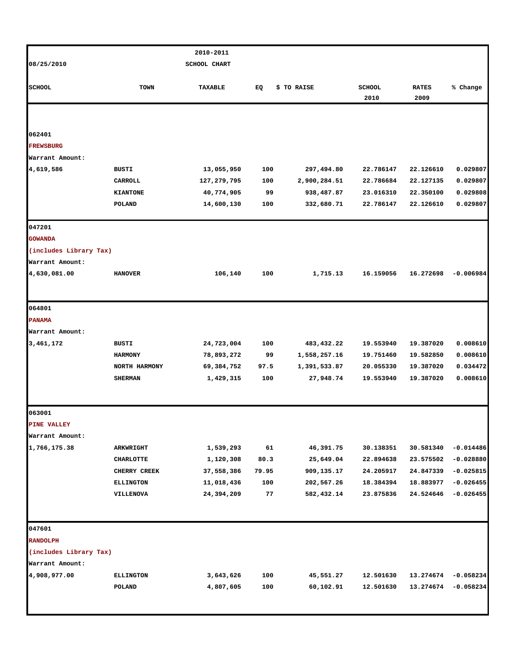|                              |                  | 2010-2011                 |       |              |               |              |             |
|------------------------------|------------------|---------------------------|-------|--------------|---------------|--------------|-------------|
| 08/25/2010                   |                  | <b>SCHOOL CHART</b>       |       |              |               |              |             |
|                              |                  |                           |       |              |               |              |             |
| <b>SCHOOL</b>                | <b>TOWN</b>      | TAXABLE                   | EQ    | \$ TO RAISE  | <b>SCHOOL</b> | <b>RATES</b> | % Change    |
|                              |                  |                           |       |              | 2010          | 2009         |             |
|                              |                  |                           |       |              |               |              |             |
|                              |                  |                           |       |              |               |              |             |
| 062401                       |                  |                           |       |              |               |              |             |
| <b>FREWSBURG</b>             |                  |                           |       |              |               |              |             |
| Warrant Amount:<br>4,619,586 | BUSTI            |                           | 100   | 297,494.80   | 22.786147     | 22.126610    | 0.029807    |
|                              | CARROLL          | 13,055,950<br>127,279,795 | 100   | 2,900,284.51 | 22.786684     | 22.127135    | 0.029807    |
|                              | <b>KIANTONE</b>  | 40,774,905                | 99    | 938,487.87   | 23.016310     | 22.350100    | 0.029808    |
|                              | <b>POLAND</b>    | 14,600,130                | 100   | 332,680.71   | 22.786147     | 22.126610    | 0.029807    |
|                              |                  |                           |       |              |               |              |             |
| 047201                       |                  |                           |       |              |               |              |             |
| <b>GOWANDA</b>               |                  |                           |       |              |               |              |             |
| (includes Library Tax)       |                  |                           |       |              |               |              |             |
| Warrant Amount:              |                  |                           |       |              |               |              |             |
| 4,630,081.00                 | <b>HANOVER</b>   | 106,140                   | 100   | 1,715.13     | 16.159056     | 16.272698    | $-0.006984$ |
|                              |                  |                           |       |              |               |              |             |
| 064801                       |                  |                           |       |              |               |              |             |
| <b>PANAMA</b>                |                  |                           |       |              |               |              |             |
| Warrant Amount:              |                  |                           |       |              |               |              |             |
| 3,461,172                    | BUSTI            | 24,723,004                | 100   | 483,432.22   | 19.553940     | 19.387020    | 0.008610    |
|                              | <b>HARMONY</b>   | 78,893,272                | 99    | 1,558,257.16 | 19.751460     | 19.582850    | 0.008610    |
|                              | NORTH HARMONY    | 69,384,752                | 97.5  | 1,391,533.87 | 20.055330     | 19.387020    | 0.034472    |
|                              | <b>SHERMAN</b>   | 1,429,315                 | 100   | 27,948.74    | 19.553940     | 19.387020    | 0.008610    |
|                              |                  |                           |       |              |               |              |             |
| 063001                       |                  |                           |       |              |               |              |             |
| <b>PINE VALLEY</b>           |                  |                           |       |              |               |              |             |
| Warrant Amount:              |                  |                           |       |              |               |              |             |
| 1,766,175.38                 | ARKWRIGHT        | 1,539,293                 | 61    | 46,391.75    | 30.138351     | 30.581340    | $-0.014486$ |
|                              | <b>CHARLOTTE</b> | 1,120,308                 | 80.3  | 25,649.04    | 22.894638     | 23.575502    | $-0.028880$ |
|                              | CHERRY CREEK     | 37,558,386                | 79.95 | 909,135.17   | 24.205917     | 24.847339    | $-0.025815$ |
|                              | <b>ELLINGTON</b> | 11,018,436                | 100   | 202,567.26   | 18.384394     | 18.883977    | $-0.026455$ |
|                              | <b>VILLENOVA</b> | 24,394,209                | 77    | 582,432.14   | 23.875836     | 24.524646    | $-0.026455$ |
|                              |                  |                           |       |              |               |              |             |
| 047601                       |                  |                           |       |              |               |              |             |
| <b>RANDOLPH</b>              |                  |                           |       |              |               |              |             |
| (includes Library Tax)       |                  |                           |       |              |               |              |             |
| Warrant Amount:              |                  |                           |       |              |               |              |             |
| 4,908,977.00                 | <b>ELLINGTON</b> | 3,643,626                 | 100   | 45,551.27    | 12.501630     | 13.274674    | $-0.058234$ |
|                              | <b>POLAND</b>    | 4,807,605                 | 100   | 60,102.91    | 12.501630     | 13.274674    | $-0.058234$ |